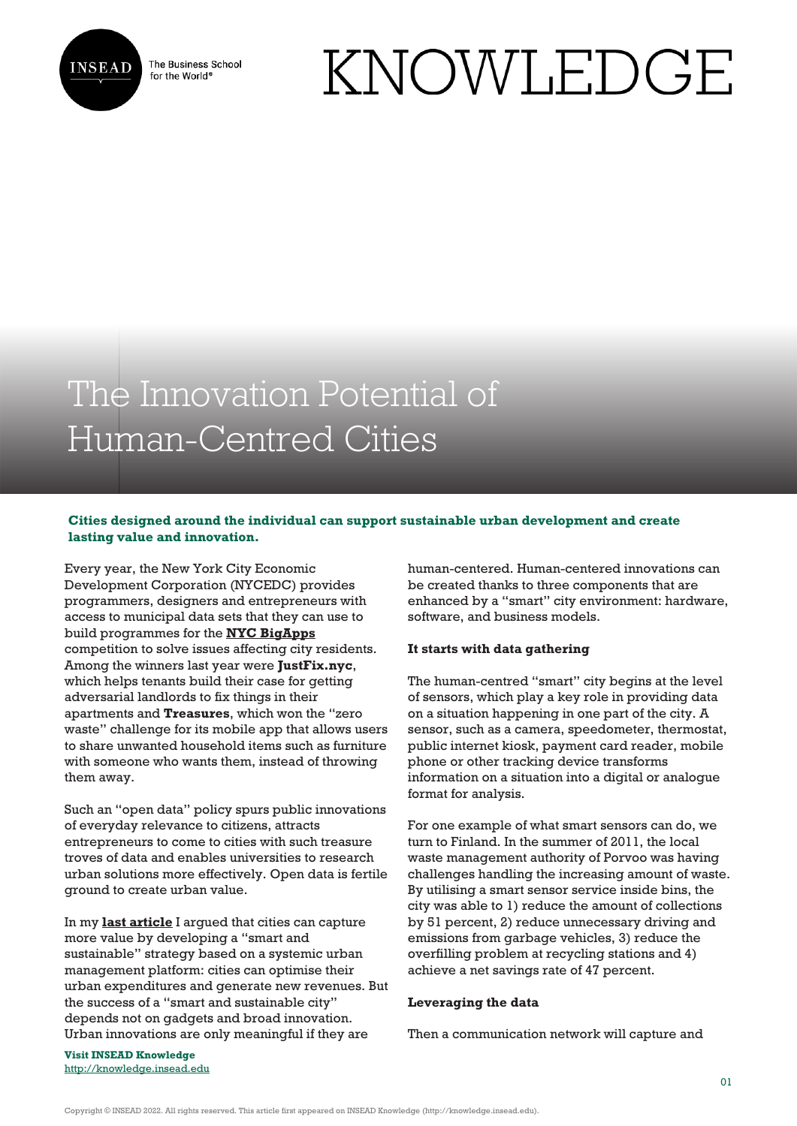

The Business School for the World<sup>®</sup>

# KNOWLEDGE

# The Innovation Potential of Human-Centred Cities

# **Cities designed around the individual can support sustainable urban development and create lasting value and innovation.**

Every year, the New York City Economic Development Corporation (NYCEDC) provides programmers, designers and entrepreneurs with access to municipal data sets that they can use to build programmes for the **[NYC BigApps](http://www.nycedc.com/program/nyc-bigapps)** competition to solve issues affecting city residents. Among the winners last year were **JustFix.nyc**, which helps tenants build their case for getting adversarial landlords to fix things in their apartments and **Treasures**, which won the "zero waste" challenge for its mobile app that allows users to share unwanted household items such as furniture with someone who wants them, instead of throwing them away.

Such an "open data" policy spurs public innovations of everyday relevance to citizens, attracts entrepreneurs to come to cities with such treasure troves of data and enables universities to research urban solutions more effectively. Open data is fertile ground to create urban value.

In my **[last article](http://knowledge.insead.edu/blog/insead-blog/cities-can-capture-more-value-4591)** I argued that cities can capture more value by developing a "smart and sustainable" strategy based on a systemic urban management platform: cities can optimise their urban expenditures and generate new revenues. But the success of a "smart and sustainable city" depends not on gadgets and broad innovation. Urban innovations are only meaningful if they are

human-centered. Human-centered innovations can be created thanks to three components that are enhanced by a "smart" city environment: hardware, software, and business models.

## **It starts with data gathering**

The human-centred "smart" city begins at the level of sensors, which play a key role in providing data on a situation happening in one part of the city. A sensor, such as a camera, speedometer, thermostat, public internet kiosk, payment card reader, mobile phone or other tracking device transforms information on a situation into a digital or analogue format for analysis.

For one example of what smart sensors can do, we turn to Finland. In the summer of 2011, the local waste management authority of Porvoo was having challenges handling the increasing amount of waste. By utilising a smart sensor service inside bins, the city was able to 1) reduce the amount of collections by 51 percent, 2) reduce unnecessary driving and emissions from garbage vehicles, 3) reduce the overfilling problem at recycling stations and 4) achieve a net savings rate of 47 percent.

## **Leveraging the data**

Then a communication network will capture and

**Visit INSEAD Knowledge** <http://knowledge.insead.edu>

Copyright © INSEAD 2022. All rights reserved. This article first appeared on INSEAD Knowledge (http://knowledge.insead.edu).